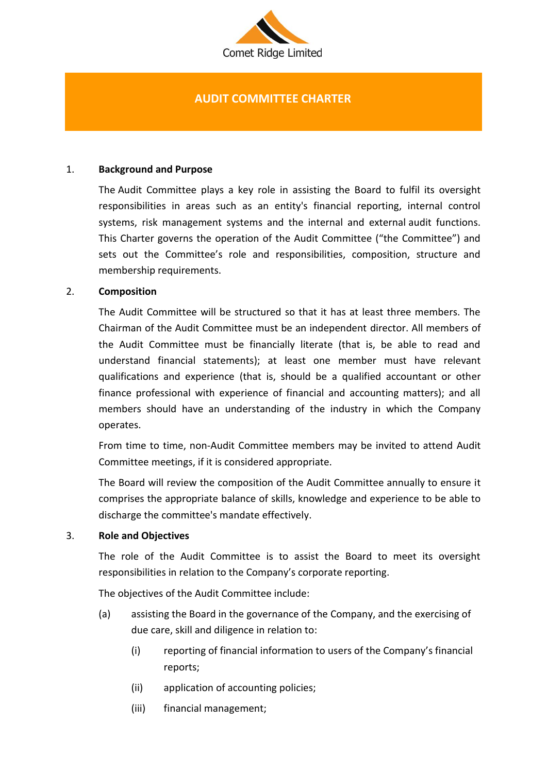

# **AUDIT COMMITTEE CHARTER**

### 1. **Background and Purpose**

The Audit Committee plays a key role in assisting the Board to fulfil its oversight responsibilities in areas such as an entity's financial reporting, internal control systems, risk management systems and the internal and external audit functions. This Charter governs the operation of the Audit Committee ("the Committee") and sets out the Committee's role and responsibilities, composition, structure and membership requirements.

### 2. **Composition**

The Audit Committee will be structured so that it has at least three members. The Chairman of the Audit Committee must be an independent director. All members of the Audit Committee must be financially literate (that is, be able to read and understand financial statements); at least one member must have relevant qualifications and experience (that is, should be a qualified accountant or other finance professional with experience of financial and accounting matters); and all members should have an understanding of the industry in which the Company operates.

From time to time, non-Audit Committee members may be invited to attend Audit Committee meetings, if it is considered appropriate.

The Board will review the composition of the Audit Committee annually to ensure it comprises the appropriate balance of skills, knowledge and experience to be able to discharge the committee's mandate effectively.

#### 3. **Role and Objectives**

The role of the Audit Committee is to assist the Board to meet its oversight responsibilities in relation to the Company's corporate reporting.

The objectives of the Audit Committee include:

- (a) assisting the Board in the governance of the Company, and the exercising of due care, skill and diligence in relation to:
	- (i) reporting of financial information to users of the Company's financial reports;
	- (ii) application of accounting policies;
	- (iii) financial management;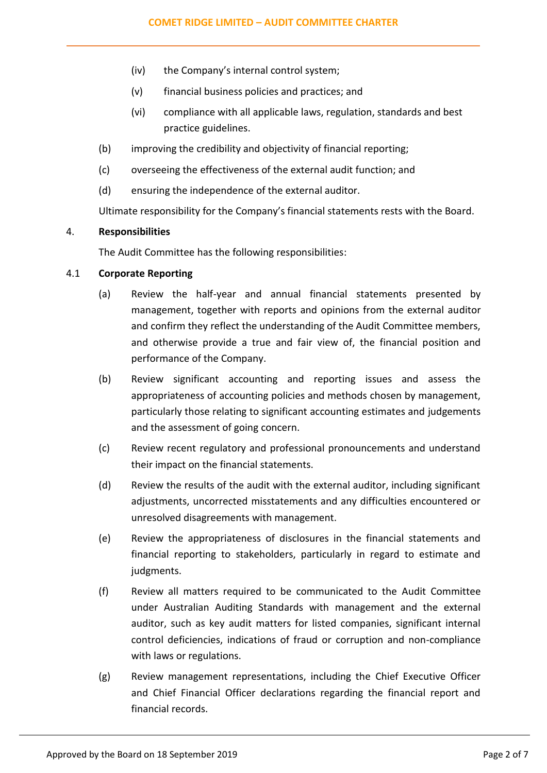- (iv) the Company's internal control system;
- (v) financial business policies and practices; and
- (vi) compliance with all applicable laws, regulation, standards and best practice guidelines.
- (b) improving the credibility and objectivity of financial reporting;
- (c) overseeing the effectiveness of the external audit function; and
- (d) ensuring the independence of the external auditor.

Ultimate responsibility for the Company's financial statements rests with the Board.

# 4. **Responsibilities**

The Audit Committee has the following responsibilities:

### 4.1 **Corporate Reporting**

- (a) Review the half-year and annual financial statements presented by management, together with reports and opinions from the external auditor and confirm they reflect the understanding of the Audit Committee members, and otherwise provide a true and fair view of, the financial position and performance of the Company.
- (b) Review significant accounting and reporting issues and assess the appropriateness of accounting policies and methods chosen by management, particularly those relating to significant accounting estimates and judgements and the assessment of going concern.
- (c) Review recent regulatory and professional pronouncements and understand their impact on the financial statements.
- (d) Review the results of the audit with the external auditor, including significant adjustments, uncorrected misstatements and any difficulties encountered or unresolved disagreements with management.
- (e) Review the appropriateness of disclosures in the financial statements and financial reporting to stakeholders, particularly in regard to estimate and judgments.
- (f) Review all matters required to be communicated to the Audit Committee under Australian Auditing Standards with management and the external auditor, such as key audit matters for listed companies, significant internal control deficiencies, indications of fraud or corruption and non-compliance with laws or regulations.
- (g) Review management representations, including the Chief Executive Officer and Chief Financial Officer declarations regarding the financial report and financial records.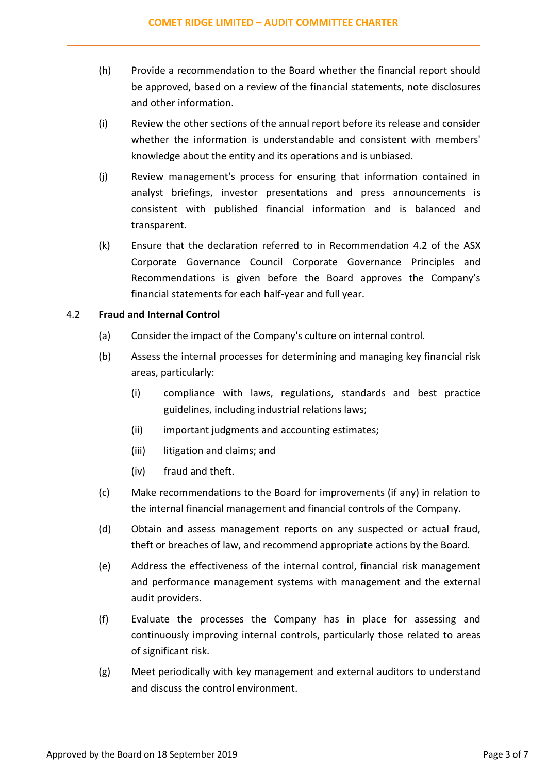- (h) Provide a recommendation to the Board whether the financial report should be approved, based on a review of the financial statements, note disclosures and other information.
- (i) Review the other sections of the annual report before its release and consider whether the information is understandable and consistent with members' knowledge about the entity and its operations and is unbiased.
- (j) Review management's process for ensuring that information contained in analyst briefings, investor presentations and press announcements is consistent with published financial information and is balanced and transparent.
- (k) Ensure that the declaration referred to in Recommendation 4.2 of the ASX Corporate Governance Council Corporate Governance Principles and Recommendations is given before the Board approves the Company's financial statements for each half-year and full year.

# 4.2 **Fraud and Internal Control**

- (a) Consider the impact of the Company's culture on internal control.
- (b) Assess the internal processes for determining and managing key financial risk areas, particularly:
	- (i) compliance with laws, regulations, standards and best practice guidelines, including industrial relations laws;
	- (ii) important judgments and accounting estimates;
	- (iii) litigation and claims; and
	- (iv) fraud and theft.
- (c) Make recommendations to the Board for improvements (if any) in relation to the internal financial management and financial controls of the Company.
- (d) Obtain and assess management reports on any suspected or actual fraud, theft or breaches of law, and recommend appropriate actions by the Board.
- (e) Address the effectiveness of the internal control, financial risk management and performance management systems with management and the external audit providers.
- (f) Evaluate the processes the Company has in place for assessing and continuously improving internal controls, particularly those related to areas of significant risk.
- (g) Meet periodically with key management and external auditors to understand and discuss the control environment.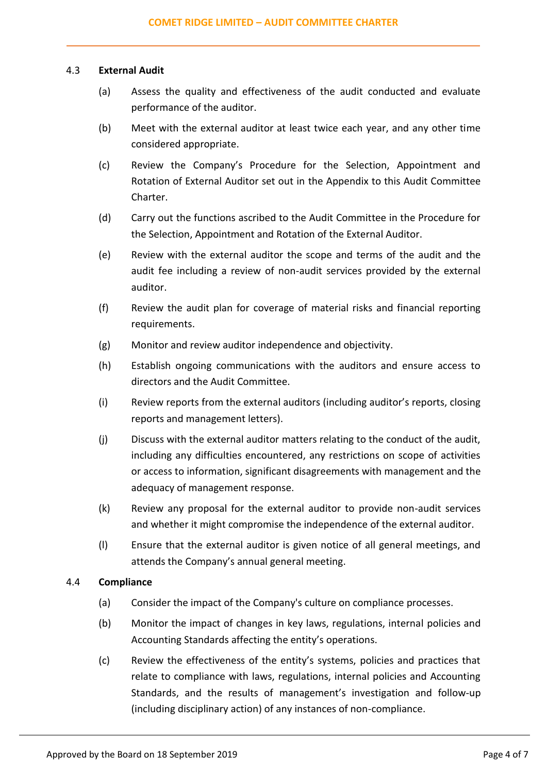### 4.3 **External Audit**

- (a) Assess the quality and effectiveness of the audit conducted and evaluate performance of the auditor.
- (b) Meet with the external auditor at least twice each year, and any other time considered appropriate.
- (c) Review the Company's Procedure for the Selection, Appointment and Rotation of External Auditor set out in the Appendix to this Audit Committee Charter.
- (d) Carry out the functions ascribed to the Audit Committee in the Procedure for the Selection, Appointment and Rotation of the External Auditor.
- (e) Review with the external auditor the scope and terms of the audit and the audit fee including a review of non-audit services provided by the external auditor.
- (f) Review the audit plan for coverage of material risks and financial reporting requirements.
- (g) Monitor and review auditor independence and objectivity.
- (h) Establish ongoing communications with the auditors and ensure access to directors and the Audit Committee.
- (i) Review reports from the external auditors (including auditor's reports, closing reports and management letters).
- (j) Discuss with the external auditor matters relating to the conduct of the audit, including any difficulties encountered, any restrictions on scope of activities or access to information, significant disagreements with management and the adequacy of management response.
- (k) Review any proposal for the external auditor to provide non-audit services and whether it might compromise the independence of the external auditor.
- (l) Ensure that the external auditor is given notice of all general meetings, and attends the Company's annual general meeting.

# 4.4 **Compliance**

- (a) Consider the impact of the Company's culture on compliance processes.
- (b) Monitor the impact of changes in key laws, regulations, internal policies and Accounting Standards affecting the entity's operations.
- (c) Review the effectiveness of the entity's systems, policies and practices that relate to compliance with laws, regulations, internal policies and Accounting Standards, and the results of management's investigation and follow-up (including disciplinary action) of any instances of non-compliance.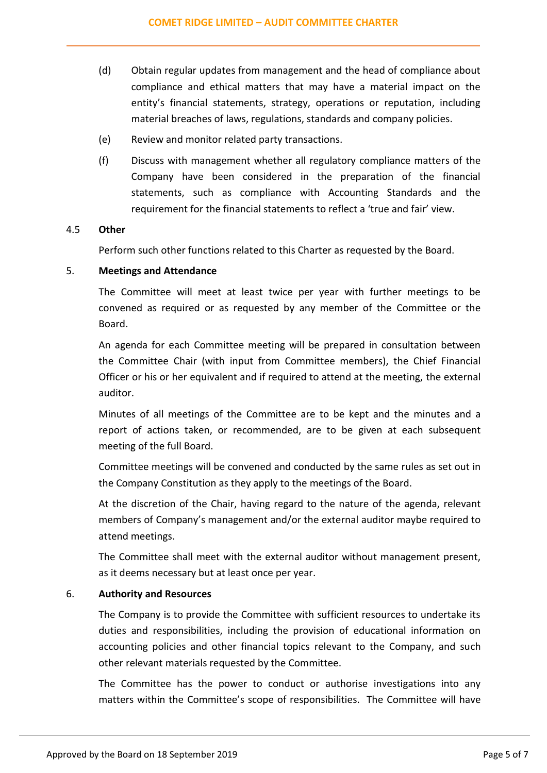- (d) Obtain regular updates from management and the head of compliance about compliance and ethical matters that may have a material impact on the entity's financial statements, strategy, operations or reputation, including material breaches of laws, regulations, standards and company policies.
- (e) Review and monitor related party transactions.
- (f) Discuss with management whether all regulatory compliance matters of the Company have been considered in the preparation of the financial statements, such as compliance with Accounting Standards and the requirement for the financial statements to reflect a 'true and fair' view.

# 4.5 **Other**

Perform such other functions related to this Charter as requested by the Board.

### 5. **Meetings and Attendance**

The Committee will meet at least twice per year with further meetings to be convened as required or as requested by any member of the Committee or the Board.

An agenda for each Committee meeting will be prepared in consultation between the Committee Chair (with input from Committee members), the Chief Financial Officer or his or her equivalent and if required to attend at the meeting, the external auditor.

Minutes of all meetings of the Committee are to be kept and the minutes and a report of actions taken, or recommended, are to be given at each subsequent meeting of the full Board.

Committee meetings will be convened and conducted by the same rules as set out in the Company Constitution as they apply to the meetings of the Board.

At the discretion of the Chair, having regard to the nature of the agenda, relevant members of Company's management and/or the external auditor maybe required to attend meetings.

The Committee shall meet with the external auditor without management present, as it deems necessary but at least once per year.

# 6. **Authority and Resources**

The Company is to provide the Committee with sufficient resources to undertake its duties and responsibilities, including the provision of educational information on accounting policies and other financial topics relevant to the Company, and such other relevant materials requested by the Committee.

The Committee has the power to conduct or authorise investigations into any matters within the Committee's scope of responsibilities. The Committee will have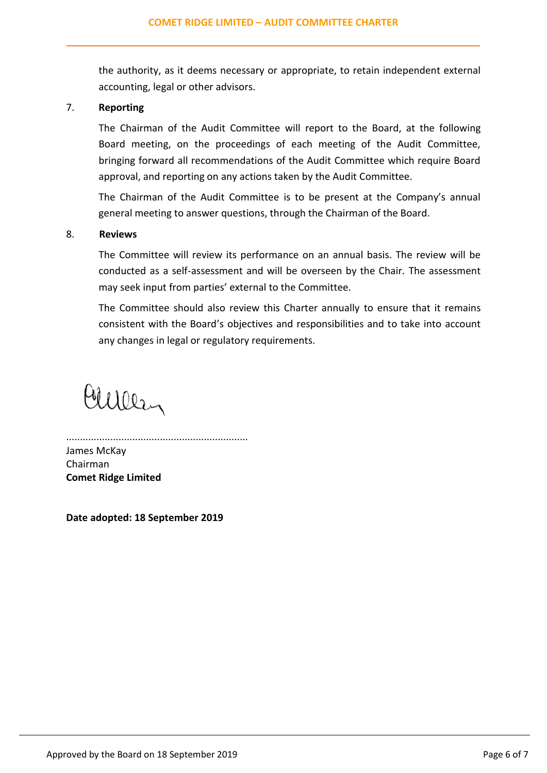the authority, as it deems necessary or appropriate, to retain independent external accounting, legal or other advisors.

# 7. **Reporting**

The Chairman of the Audit Committee will report to the Board, at the following Board meeting, on the proceedings of each meeting of the Audit Committee, bringing forward all recommendations of the Audit Committee which require Board approval, and reporting on any actions taken by the Audit Committee.

The Chairman of the Audit Committee is to be present at the Company's annual general meeting to answer questions, through the Chairman of the Board.

#### 8. **Reviews**

The Committee will review its performance on an annual basis. The review will be conducted as a self-assessment and will be overseen by the Chair. The assessment may seek input from parties' external to the Committee.

The Committee should also review this Charter annually to ensure that it remains consistent with the Board's objectives and responsibilities and to take into account any changes in legal or regulatory requirements.

Culler

.................................................................. James McKay Chairman **Comet Ridge Limited**

**Date adopted: 18 September 2019**